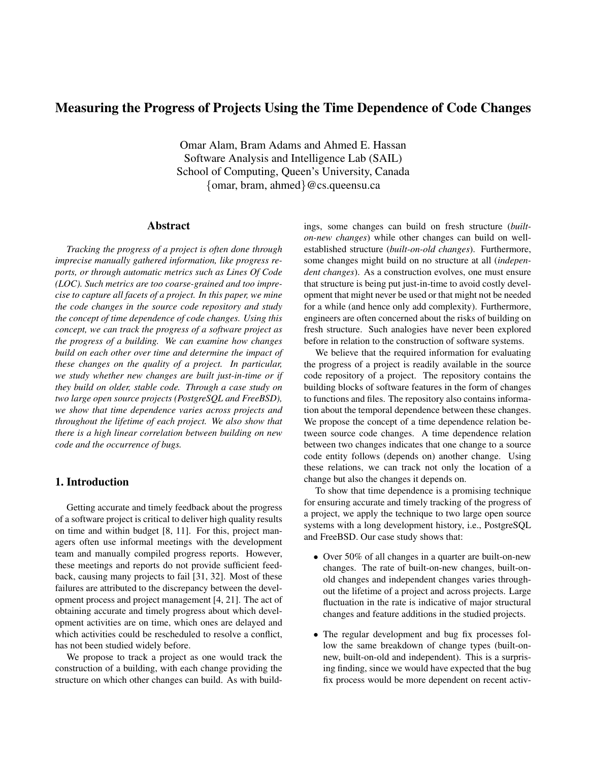# Measuring the Progress of Projects Using the Time Dependence of Code Changes

Omar Alam, Bram Adams and Ahmed E. Hassan Software Analysis and Intelligence Lab (SAIL) School of Computing, Queen's University, Canada {omar, bram, ahmed}@cs.queensu.ca

#### Abstract

*Tracking the progress of a project is often done through imprecise manually gathered information, like progress reports, or through automatic metrics such as Lines Of Code (LOC). Such metrics are too coarse-grained and too imprecise to capture all facets of a project. In this paper, we mine the code changes in the source code repository and study the concept of time dependence of code changes. Using this concept, we can track the progress of a software project as the progress of a building. We can examine how changes build on each other over time and determine the impact of these changes on the quality of a project. In particular, we study whether new changes are built just-in-time or if they build on older, stable code. Through a case study on two large open source projects (PostgreSQL and FreeBSD), we show that time dependence varies across projects and throughout the lifetime of each project. We also show that there is a high linear correlation between building on new code and the occurrence of bugs.*

### 1. Introduction

Getting accurate and timely feedback about the progress of a software project is critical to deliver high quality results on time and within budget [8, 11]. For this, project managers often use informal meetings with the development team and manually compiled progress reports. However, these meetings and reports do not provide sufficient feedback, causing many projects to fail [31, 32]. Most of these failures are attributed to the discrepancy between the development process and project management [4, 21]. The act of obtaining accurate and timely progress about which development activities are on time, which ones are delayed and which activities could be rescheduled to resolve a conflict, has not been studied widely before.

We propose to track a project as one would track the construction of a building, with each change providing the structure on which other changes can build. As with buildings, some changes can build on fresh structure (*builton-new changes*) while other changes can build on wellestablished structure (*built-on-old changes*). Furthermore, some changes might build on no structure at all (*independent changes*). As a construction evolves, one must ensure that structure is being put just-in-time to avoid costly development that might never be used or that might not be needed for a while (and hence only add complexity). Furthermore, engineers are often concerned about the risks of building on fresh structure. Such analogies have never been explored before in relation to the construction of software systems.

We believe that the required information for evaluating the progress of a project is readily available in the source code repository of a project. The repository contains the building blocks of software features in the form of changes to functions and files. The repository also contains information about the temporal dependence between these changes. We propose the concept of a time dependence relation between source code changes. A time dependence relation between two changes indicates that one change to a source code entity follows (depends on) another change. Using these relations, we can track not only the location of a change but also the changes it depends on.

To show that time dependence is a promising technique for ensuring accurate and timely tracking of the progress of a project, we apply the technique to two large open source systems with a long development history, i.e., PostgreSQL and FreeBSD. Our case study shows that:

- Over 50% of all changes in a quarter are built-on-new changes. The rate of built-on-new changes, built-onold changes and independent changes varies throughout the lifetime of a project and across projects. Large fluctuation in the rate is indicative of major structural changes and feature additions in the studied projects.
- The regular development and bug fix processes follow the same breakdown of change types (built-onnew, built-on-old and independent). This is a surprising finding, since we would have expected that the bug fix process would be more dependent on recent activ-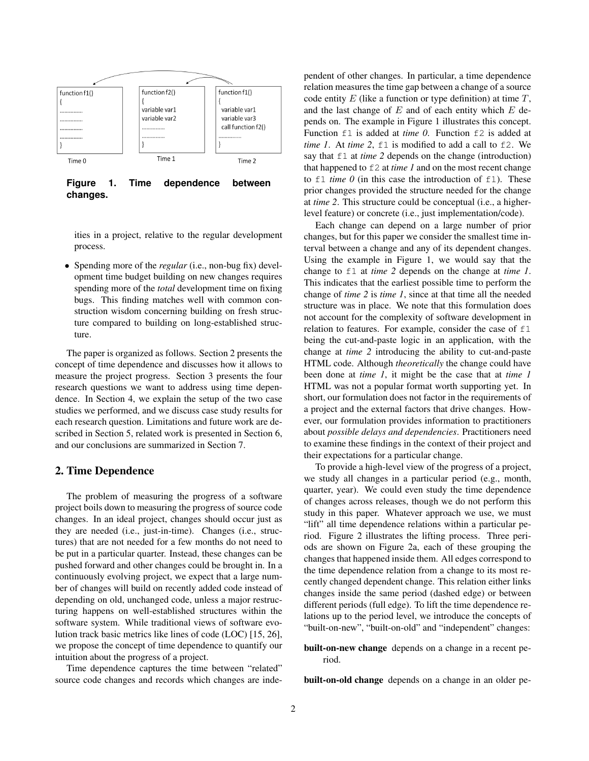

**Figure 1. Time dependence between changes.**

ities in a project, relative to the regular development process.

• Spending more of the *regular* (i.e., non-bug fix) development time budget building on new changes requires spending more of the *total* development time on fixing bugs. This finding matches well with common construction wisdom concerning building on fresh structure compared to building on long-established structure.

The paper is organized as follows. Section 2 presents the concept of time dependence and discusses how it allows to measure the project progress. Section 3 presents the four research questions we want to address using time dependence. In Section 4, we explain the setup of the two case studies we performed, and we discuss case study results for each research question. Limitations and future work are described in Section 5, related work is presented in Section 6, and our conclusions are summarized in Section 7.

#### 2. Time Dependence

The problem of measuring the progress of a software project boils down to measuring the progress of source code changes. In an ideal project, changes should occur just as they are needed (i.e., just-in-time). Changes (i.e., structures) that are not needed for a few months do not need to be put in a particular quarter. Instead, these changes can be pushed forward and other changes could be brought in. In a continuously evolving project, we expect that a large number of changes will build on recently added code instead of depending on old, unchanged code, unless a major restructuring happens on well-established structures within the software system. While traditional views of software evolution track basic metrics like lines of code (LOC) [15, 26], we propose the concept of time dependence to quantify our intuition about the progress of a project.

Time dependence captures the time between "related" source code changes and records which changes are independent of other changes. In particular, a time dependence relation measures the time gap between a change of a source code entity  $E$  (like a function or type definition) at time  $T$ , and the last change of  $E$  and of each entity which  $E$  depends on. The example in Figure 1 illustrates this concept. Function f1 is added at *time 0*. Function f2 is added at *time 1.* At *time 2, f1* is modified to add a call to f2. We say that f1 at *time 2* depends on the change (introduction) that happened to  $E2$  at *time 1* and on the most recent change to  $\pm 1$  *time 0* (in this case the introduction of  $\pm 1$ ). These prior changes provided the structure needed for the change at *time 2*. This structure could be conceptual (i.e., a higherlevel feature) or concrete (i.e., just implementation/code).

Each change can depend on a large number of prior changes, but for this paper we consider the smallest time interval between a change and any of its dependent changes. Using the example in Figure 1, we would say that the change to f1 at *time 2* depends on the change at *time 1*. This indicates that the earliest possible time to perform the change of *time 2* is *time 1*, since at that time all the needed structure was in place. We note that this formulation does not account for the complexity of software development in relation to features. For example, consider the case of  $f1$ being the cut-and-paste logic in an application, with the change at *time 2* introducing the ability to cut-and-paste HTML code. Although *theoretically* the change could have been done at *time 1*, it might be the case that at *time 1* HTML was not a popular format worth supporting yet. In short, our formulation does not factor in the requirements of a project and the external factors that drive changes. However, our formulation provides information to practitioners about *possible delays and dependencies*. Practitioners need to examine these findings in the context of their project and their expectations for a particular change.

To provide a high-level view of the progress of a project, we study all changes in a particular period (e.g., month, quarter, year). We could even study the time dependence of changes across releases, though we do not perform this study in this paper. Whatever approach we use, we must "lift" all time dependence relations within a particular period. Figure 2 illustrates the lifting process. Three periods are shown on Figure 2a, each of these grouping the changes that happened inside them. All edges correspond to the time dependence relation from a change to its most recently changed dependent change. This relation either links changes inside the same period (dashed edge) or between different periods (full edge). To lift the time dependence relations up to the period level, we introduce the concepts of "built-on-new", "built-on-old" and "independent" changes:

built-on-new change depends on a change in a recent period.

built-on-old change depends on a change in an older pe-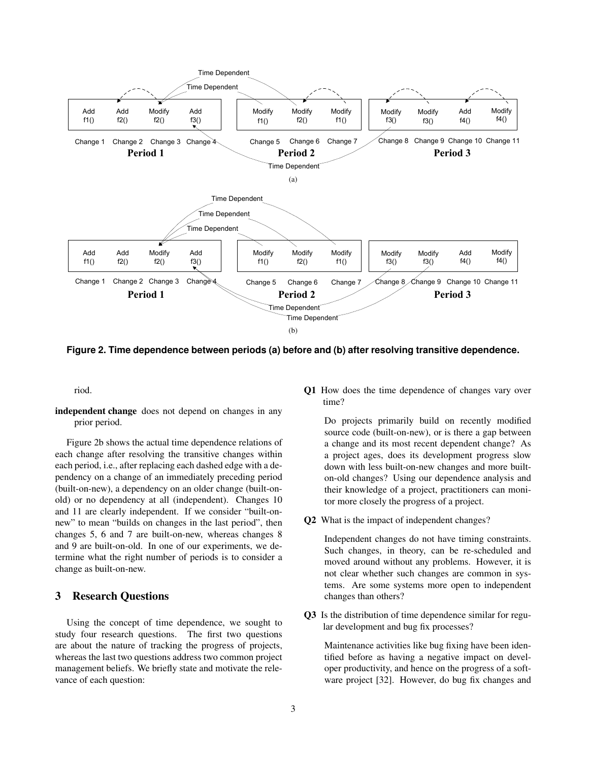

**Figure 2. Time dependence between periods (a) before and (b) after resolving transitive dependence.**

riod.

## independent change does not depend on changes in any prior period.

Figure 2b shows the actual time dependence relations of each change after resolving the transitive changes within each period, i.e., after replacing each dashed edge with a dependency on a change of an immediately preceding period (built-on-new), a dependency on an older change (built-onold) or no dependency at all (independent). Changes 10 and 11 are clearly independent. If we consider "built-onnew" to mean "builds on changes in the last period", then changes 5, 6 and 7 are built-on-new, whereas changes 8 and 9 are built-on-old. In one of our experiments, we determine what the right number of periods is to consider a change as built-on-new.

## 3 Research Questions

Using the concept of time dependence, we sought to study four research questions. The first two questions are about the nature of tracking the progress of projects, whereas the last two questions address two common project management beliefs. We briefly state and motivate the relevance of each question:

Q1 How does the time dependence of changes vary over time?

Do projects primarily build on recently modified source code (built-on-new), or is there a gap between a change and its most recent dependent change? As a project ages, does its development progress slow down with less built-on-new changes and more builton-old changes? Using our dependence analysis and their knowledge of a project, practitioners can monitor more closely the progress of a project.

Q2 What is the impact of independent changes?

Independent changes do not have timing constraints. Such changes, in theory, can be re-scheduled and moved around without any problems. However, it is not clear whether such changes are common in systems. Are some systems more open to independent changes than others?

Q3 Is the distribution of time dependence similar for regular development and bug fix processes?

Maintenance activities like bug fixing have been identified before as having a negative impact on developer productivity, and hence on the progress of a software project [32]. However, do bug fix changes and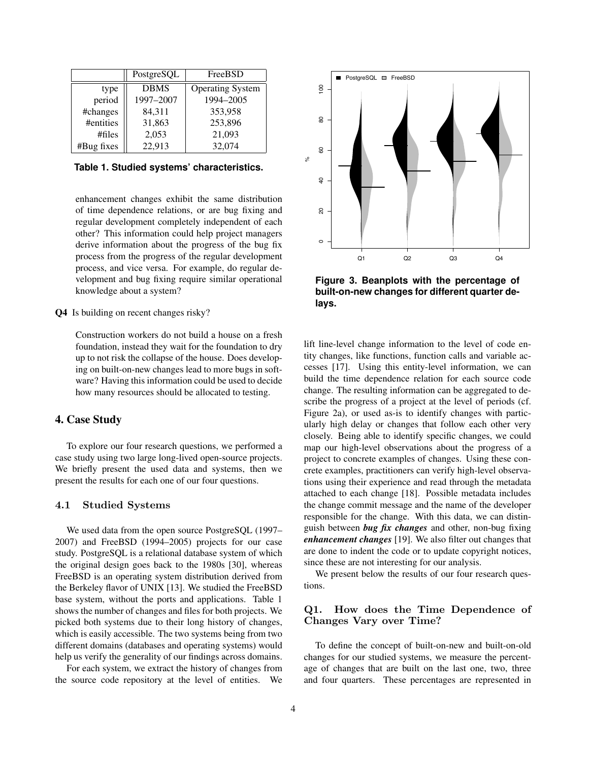|            | PostgreSQL  | FreeBSD                 |  |
|------------|-------------|-------------------------|--|
| type       | <b>DBMS</b> | <b>Operating System</b> |  |
| period     | 1997-2007   | 1994-2005               |  |
| #changes   | 84,311      | 353,958                 |  |
| #entities  | 31,863      | 253,896                 |  |
| #files     | 2,053       | 21,093                  |  |
| #Bug fixes | 22,913      | 32,074                  |  |

**Table 1. Studied systems' characteristics.**

enhancement changes exhibit the same distribution of time dependence relations, or are bug fixing and regular development completely independent of each other? This information could help project managers derive information about the progress of the bug fix process from the progress of the regular development process, and vice versa. For example, do regular development and bug fixing require similar operational knowledge about a system?

#### Q4 Is building on recent changes risky?

Construction workers do not build a house on a fresh foundation, instead they wait for the foundation to dry up to not risk the collapse of the house. Does developing on built-on-new changes lead to more bugs in software? Having this information could be used to decide how many resources should be allocated to testing.

## 4. Case Study

To explore our four research questions, we performed a case study using two large long-lived open-source projects. We briefly present the used data and systems, then we present the results for each one of our four questions.

#### 4.1 Studied Systems

We used data from the open source PostgreSQL (1997– 2007) and FreeBSD (1994–2005) projects for our case study. PostgreSQL is a relational database system of which the original design goes back to the 1980s [30], whereas FreeBSD is an operating system distribution derived from the Berkeley flavor of UNIX [13]. We studied the FreeBSD base system, without the ports and applications. Table 1 shows the number of changes and files for both projects. We picked both systems due to their long history of changes, which is easily accessible. The two systems being from two different domains (databases and operating systems) would help us verify the generality of our findings across domains.

For each system, we extract the history of changes from the source code repository at the level of entities. We



**Figure 3. Beanplots with the percentage of built-on-new changes for different quarter delays.**

lift line-level change information to the level of code entity changes, like functions, function calls and variable accesses [17]. Using this entity-level information, we can build the time dependence relation for each source code change. The resulting information can be aggregated to describe the progress of a project at the level of periods (cf. Figure 2a), or used as-is to identify changes with particularly high delay or changes that follow each other very closely. Being able to identify specific changes, we could map our high-level observations about the progress of a project to concrete examples of changes. Using these concrete examples, practitioners can verify high-level observations using their experience and read through the metadata attached to each change [18]. Possible metadata includes the change commit message and the name of the developer responsible for the change. With this data, we can distinguish between *bug fix changes* and other, non-bug fixing *enhancement changes* [19]. We also filter out changes that are done to indent the code or to update copyright notices, since these are not interesting for our analysis.

We present below the results of our four research questions.

# Q1. How does the Time Dependence of Changes Vary over Time?

To define the concept of built-on-new and built-on-old changes for our studied systems, we measure the percentage of changes that are built on the last one, two, three and four quarters. These percentages are represented in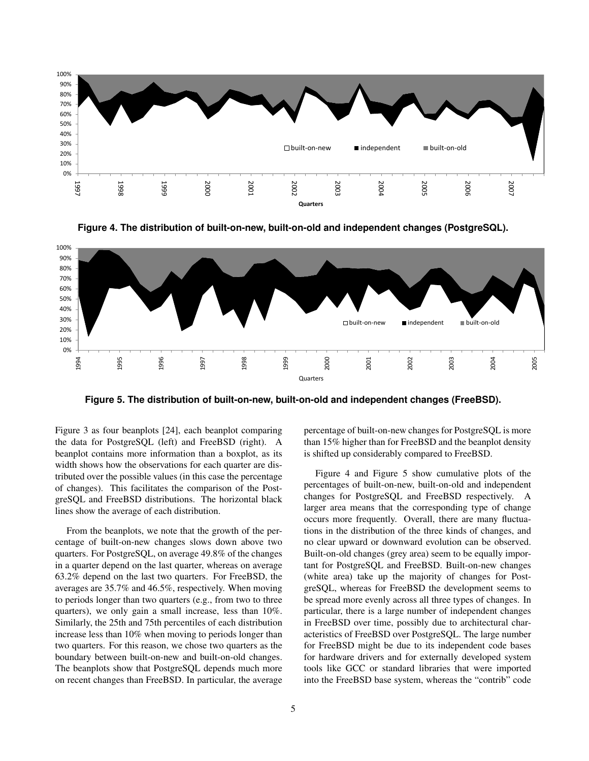

**Figure 4. The distribution of built-on-new, built-on-old and independent changes (PostgreSQL).**



**Figure 5. The distribution of built-on-new, built-on-old and independent changes (FreeBSD).**

Figure 3 as four beanplots [24], each beanplot comparing the data for PostgreSQL (left) and FreeBSD (right). A beanplot contains more information than a boxplot, as its width shows how the observations for each quarter are distributed over the possible values (in this case the percentage of changes). This facilitates the comparison of the PostgreSQL and FreeBSD distributions. The horizontal black lines show the average of each distribution.

From the beanplots, we note that the growth of the percentage of built-on-new changes slows down above two quarters. For PostgreSQL, on average 49.8% of the changes in a quarter depend on the last quarter, whereas on average 63.2% depend on the last two quarters. For FreeBSD, the averages are 35.7% and 46.5%, respectively. When moving to periods longer than two quarters (e.g., from two to three quarters), we only gain a small increase, less than 10%. Similarly, the 25th and 75th percentiles of each distribution increase less than 10% when moving to periods longer than two quarters. For this reason, we chose two quarters as the boundary between built-on-new and built-on-old changes. The beanplots show that PostgreSQL depends much more on recent changes than FreeBSD. In particular, the average percentage of built-on-new changes for PostgreSQL is more than 15% higher than for FreeBSD and the beanplot density is shifted up considerably compared to FreeBSD.

Figure 4 and Figure 5 show cumulative plots of the percentages of built-on-new, built-on-old and independent changes for PostgreSQL and FreeBSD respectively. A larger area means that the corresponding type of change occurs more frequently. Overall, there are many fluctuations in the distribution of the three kinds of changes, and no clear upward or downward evolution can be observed. Built-on-old changes (grey area) seem to be equally important for PostgreSQL and FreeBSD. Built-on-new changes (white area) take up the majority of changes for PostgreSQL, whereas for FreeBSD the development seems to be spread more evenly across all three types of changes. In particular, there is a large number of independent changes in FreeBSD over time, possibly due to architectural characteristics of FreeBSD over PostgreSQL. The large number for FreeBSD might be due to its independent code bases for hardware drivers and for externally developed system tools like GCC or standard libraries that were imported into the FreeBSD base system, whereas the "contrib" code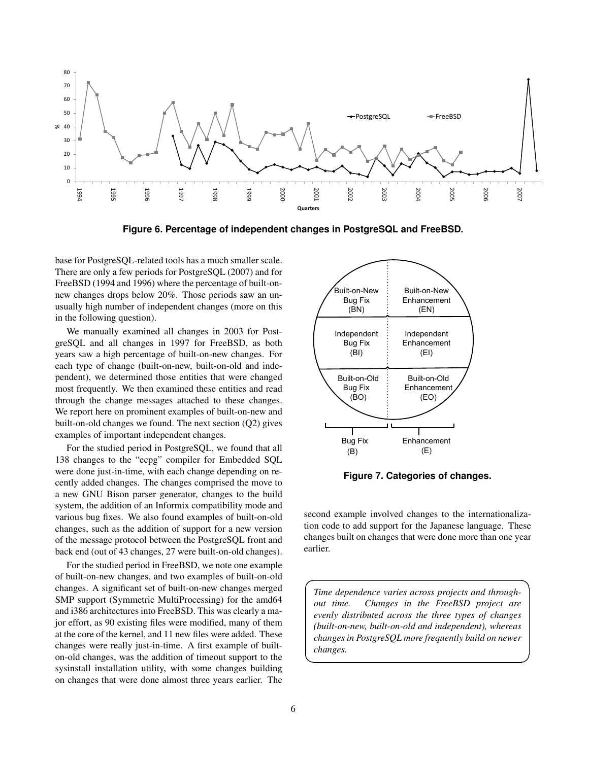

**Figure 6. Percentage of independent changes in PostgreSQL and FreeBSD.**

base for PostgreSQL-related tools has a much smaller scale. There are only a few periods for PostgreSQL (2007) and for FreeBSD (1994 and 1996) where the percentage of built-onnew changes drops below 20%. Those periods saw an unusually high number of independent changes (more on this in the following question).

We manually examined all changes in 2003 for PostgreSQL and all changes in 1997 for FreeBSD, as both years saw a high percentage of built-on-new changes. For each type of change (built-on-new, built-on-old and independent), we determined those entities that were changed most frequently. We then examined these entities and read through the change messages attached to these changes. We report here on prominent examples of built-on-new and built-on-old changes we found. The next section (Q2) gives examples of important independent changes.

For the studied period in PostgreSQL, we found that all 138 changes to the "ecpg" compiler for Embedded SQL were done just-in-time, with each change depending on recently added changes. The changes comprised the move to a new GNU Bison parser generator, changes to the build system, the addition of an Informix compatibility mode and various bug fixes. We also found examples of built-on-old changes, such as the addition of support for a new version of the message protocol between the PostgreSQL front and back end (out of 43 changes, 27 were built-on-old changes).

For the studied period in FreeBSD, we note one example of built-on-new changes, and two examples of built-on-old changes. A significant set of built-on-new changes merged SMP support (Symmetric MultiProcessing) for the amd64 and i386 architectures into FreeBSD. This was clearly a major effort, as 90 existing files were modified, many of them at the core of the kernel, and 11 new files were added. These changes were really just-in-time. A first example of builton-old changes, was the addition of timeout support to the sysinstall installation utility, with some changes building on changes that were done almost three years earlier. The



**Figure 7. Categories of changes.**

second example involved changes to the internationalization code to add support for the Japanese language. These changes built on changes that were done more than one year earlier.

*Time dependence varies across projects and throughout time. Changes in the FreeBSD project are evenly distributed across the three types of changes (built-on-new, built-on-old and independent), whereas changes in PostgreSQL more frequently build on newer changes.*

 $\overline{$ 

✍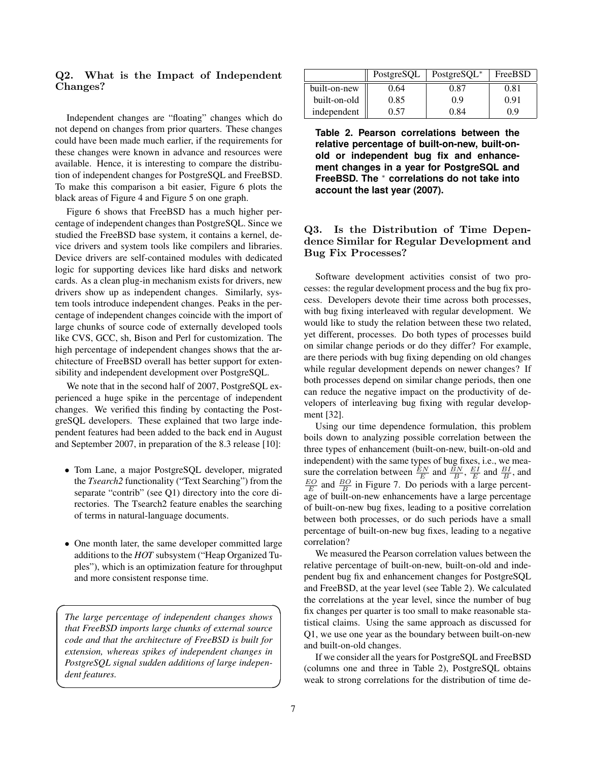## Q2. What is the Impact of Independent Changes?

Independent changes are "floating" changes which do not depend on changes from prior quarters. These changes could have been made much earlier, if the requirements for these changes were known in advance and resources were available. Hence, it is interesting to compare the distribution of independent changes for PostgreSQL and FreeBSD. To make this comparison a bit easier, Figure 6 plots the black areas of Figure 4 and Figure 5 on one graph.

Figure 6 shows that FreeBSD has a much higher percentage of independent changes than PostgreSQL. Since we studied the FreeBSD base system, it contains a kernel, device drivers and system tools like compilers and libraries. Device drivers are self-contained modules with dedicated logic for supporting devices like hard disks and network cards. As a clean plug-in mechanism exists for drivers, new drivers show up as independent changes. Similarly, system tools introduce independent changes. Peaks in the percentage of independent changes coincide with the import of large chunks of source code of externally developed tools like CVS, GCC, sh, Bison and Perl for customization. The high percentage of independent changes shows that the architecture of FreeBSD overall has better support for extensibility and independent development over PostgreSQL.

We note that in the second half of 2007, PostgreSQL experienced a huge spike in the percentage of independent changes. We verified this finding by contacting the PostgreSQL developers. These explained that two large independent features had been added to the back end in August and September 2007, in preparation of the 8.3 release [10]:

- Tom Lane, a major PostgreSQL developer, migrated the *Tsearch2* functionality ("Text Searching") from the separate "contrib" (see Q1) directory into the core directories. The Tsearch2 feature enables the searching of terms in natural-language documents.
- One month later, the same developer committed large additions to the *HOT* subsystem ("Heap Organized Tuples"), which is an optimization feature for throughput and more consistent response time.

*The large percentage of independent changes shows that FreeBSD imports large chunks of external source code and that the architecture of FreeBSD is built for extension, whereas spikes of independent changes in PostgreSQL signal sudden additions of large independent features.*

 $\overline{$ 

✍

|              | PostgreSOL | $PostgreSQL^*$ | FreeBSD |
|--------------|------------|----------------|---------|
| built-on-new | 0.64       | 0.87           | 0.81    |
| built-on-old | 0.85       | 0.9            | 0.91    |
| independent  | 0.57       | 0.84           | 0.9     |

**Table 2. Pearson correlations between the relative percentage of built-on-new, built-onold or independent bug fix and enhancement changes in a year for PostgreSQL and FreeBSD. The** <sup>∗</sup> **correlations do not take into account the last year (2007).**

# Q3. Is the Distribution of Time Dependence Similar for Regular Development and Bug Fix Processes?

Software development activities consist of two processes: the regular development process and the bug fix process. Developers devote their time across both processes, with bug fixing interleaved with regular development. We would like to study the relation between these two related, yet different, processes. Do both types of processes build on similar change periods or do they differ? For example, are there periods with bug fixing depending on old changes while regular development depends on newer changes? If both processes depend on similar change periods, then one can reduce the negative impact on the productivity of developers of interleaving bug fixing with regular development [32].

Using our time dependence formulation, this problem boils down to analyzing possible correlation between the three types of enhancement (built-on-new, built-on-old and independent) with the same types of bug fixes, i.e., we measure the correlation between  $\frac{EN}{E}$  and  $\frac{BN}{B}$ ,  $\frac{EI}{E}$  and  $\frac{BI}{B}$ , and  $\frac{EO}{E}$  and  $\frac{BO}{B}$  in Figure 7. Do periods with a large percentage of built-on-new enhancements have a large percentage of built-on-new bug fixes, leading to a positive correlation between both processes, or do such periods have a small percentage of built-on-new bug fixes, leading to a negative correlation?

We measured the Pearson correlation values between the relative percentage of built-on-new, built-on-old and independent bug fix and enhancement changes for PostgreSQL and FreeBSD, at the year level (see Table 2). We calculated the correlations at the year level, since the number of bug fix changes per quarter is too small to make reasonable statistical claims. Using the same approach as discussed for Q1, we use one year as the boundary between built-on-new and built-on-old changes.

If we consider all the years for PostgreSQL and FreeBSD (columns one and three in Table 2), PostgreSQL obtains weak to strong correlations for the distribution of time de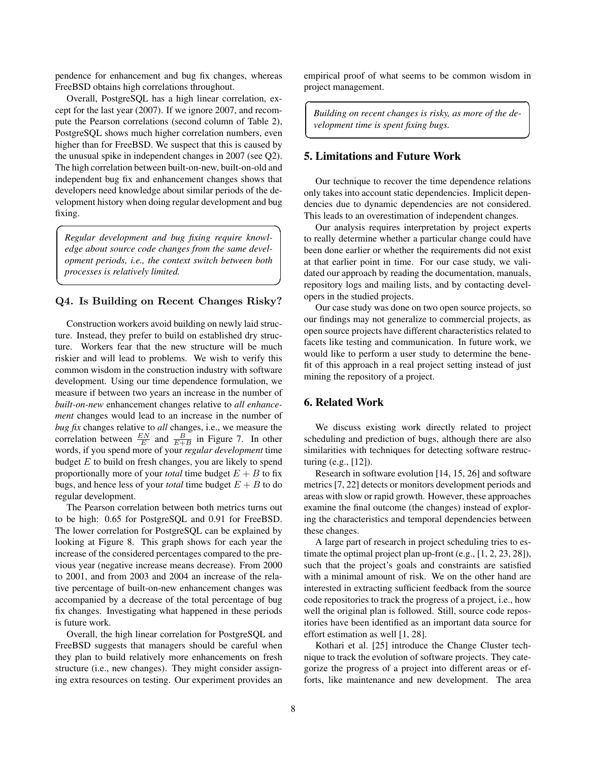pendence for enhancement and bug fix changes, whereas FreeBSD obtains high correlations throughout.

Overall, PostgreSQL has a high linear correlation, except for the last year (2007). If we ignore 2007, and recompute the Pearson correlations (second column of Table 2), PostgreSQL shows much higher correlation numbers, even higher than for FreeBSD. We suspect that this is caused by the unusual spike in independent changes in 2007 (see Q2). The high correlation between built-on-new, built-on-old and independent bug fix and enhancement changes shows that developers need knowledge about similar periods of the development history when doing regular development and bug fixing.

*Regular development and bug fixing require knowledge about source code changes from the same development periods, i.e., the context switch between both processes is relatively limited.*

☛

 $\searrow$ 

## Q4. Is Building on Recent Changes Risky?

Construction workers avoid building on newly laid structure. Instead, they prefer to build on established dry structure. Workers fear that the new structure will be much riskier and will lead to problems. We wish to verify this common wisdom in the construction industry with software development. Using our time dependence formulation, we measure if between two years an increase in the number of *built-on-new* enhancement changes relative to *all enhancement* changes would lead to an increase in the number of *bug fix* changes relative to *all* changes, i.e., we measure the correlation between  $\frac{EN}{E}$  and  $\frac{B}{E+B}$  in Figure 7. In other words, if you spend more of your *regular development* time budget  $E$  to build on fresh changes, you are likely to spend proportionally more of your *total* time budget  $E + B$  to fix bugs, and hence less of your *total* time budget  $E + B$  to do regular development.

The Pearson correlation between both metrics turns out to be high: 0.65 for PostgreSQL and 0.91 for FreeBSD. The lower correlation for PostgreSQL can be explained by looking at Figure 8. This graph shows for each year the increase of the considered percentages compared to the previous year (negative increase means decrease). From 2000 to 2001, and from 2003 and 2004 an increase of the relative percentage of built-on-new enhancement changes was accompanied by a decrease of the total percentage of bug fix changes. Investigating what happened in these periods is future work.

Overall, the high linear correlation for PostgreSQL and FreeBSD suggests that managers should be careful when they plan to build relatively more enhancements on fresh structure (i.e., new changes). They might consider assigning extra resources on testing. Our experiment provides an empirical proof of what seems to be common wisdom in project management.

☎

✆

*Building on recent changes is risky, as more of the development time is spent fixing bugs.*

# 5. Limitations and Future Work

Our technique to recover the time dependence relations only takes into account static dependencies. Implicit dependencies due to dynamic dependencies are not considered. This leads to an overestimation of independent changes.

Our analysis requires interpretation by project experts to really determine whether a particular change could have been done earlier or whether the requirements did not exist at that earlier point in time. For our case study, we validated our approach by reading the documentation, manuals, repository logs and mailing lists, and by contacting developers in the studied projects.

Our case study was done on two open source projects, so our findings may not generalize to commercial projects, as open source projects have different characteristics related to facets like testing and communication. In future work, we would like to perform a user study to determine the benefit of this approach in a real project setting instead of just mining the repository of a project.

# 6. Related Work

✟

 $\overline{a}$ 

✝

We discuss existing work directly related to project scheduling and prediction of bugs, although there are also similarities with techniques for detecting software restructuring (e.g., [12]).

Research in software evolution [14, 15, 26] and software metrics [7, 22] detects or monitors development periods and areas with slow or rapid growth. However, these approaches examine the final outcome (the changes) instead of exploring the characteristics and temporal dependencies between these changes.

A large part of research in project scheduling tries to estimate the optimal project plan up-front (e.g., [1, 2, 23, 28]), such that the project's goals and constraints are satisfied with a minimal amount of risk. We on the other hand are interested in extracting sufficient feedback from the source code repositories to track the progress of a project, i.e., how well the original plan is followed. Still, source code repositories have been identified as an important data source for effort estimation as well [1, 28].

Kothari et al. [25] introduce the Change Cluster technique to track the evolution of software projects. They categorize the progress of a project into different areas or efforts, like maintenance and new development. The area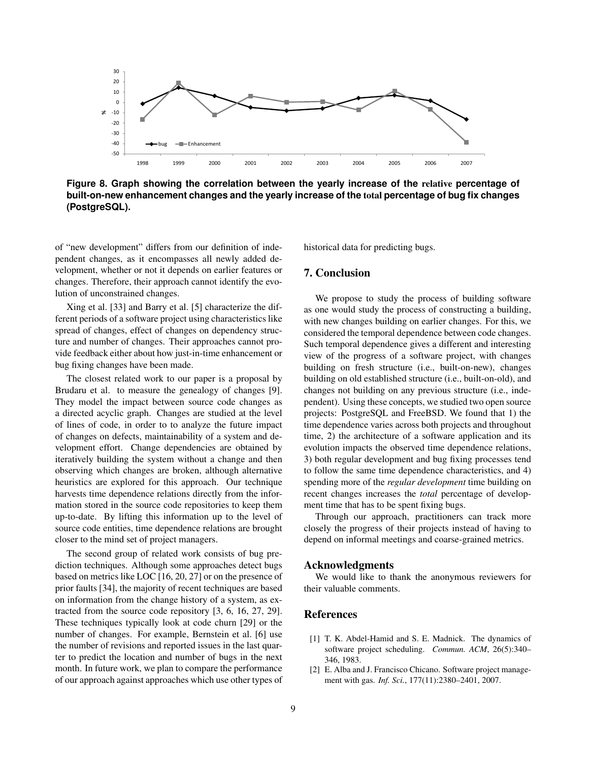

**Figure 8. Graph showing the correlation between the yearly increase of the** relative **percentage of built-on-new enhancement changes and the yearly increase of the** total **percentage of bug fix changes (PostgreSQL).**

of "new development" differs from our definition of independent changes, as it encompasses all newly added development, whether or not it depends on earlier features or changes. Therefore, their approach cannot identify the evolution of unconstrained changes.

Xing et al. [33] and Barry et al. [5] characterize the different periods of a software project using characteristics like spread of changes, effect of changes on dependency structure and number of changes. Their approaches cannot provide feedback either about how just-in-time enhancement or bug fixing changes have been made.

The closest related work to our paper is a proposal by Brudaru et al. to measure the genealogy of changes [9]. They model the impact between source code changes as a directed acyclic graph. Changes are studied at the level of lines of code, in order to to analyze the future impact of changes on defects, maintainability of a system and development effort. Change dependencies are obtained by iteratively building the system without a change and then observing which changes are broken, although alternative heuristics are explored for this approach. Our technique harvests time dependence relations directly from the information stored in the source code repositories to keep them up-to-date. By lifting this information up to the level of source code entities, time dependence relations are brought closer to the mind set of project managers.

The second group of related work consists of bug prediction techniques. Although some approaches detect bugs based on metrics like LOC [16, 20, 27] or on the presence of prior faults [34], the majority of recent techniques are based on information from the change history of a system, as extracted from the source code repository [3, 6, 16, 27, 29]. These techniques typically look at code churn [29] or the number of changes. For example, Bernstein et al. [6] use the number of revisions and reported issues in the last quarter to predict the location and number of bugs in the next month. In future work, we plan to compare the performance of our approach against approaches which use other types of historical data for predicting bugs.

#### 7. Conclusion

We propose to study the process of building software as one would study the process of constructing a building, with new changes building on earlier changes. For this, we considered the temporal dependence between code changes. Such temporal dependence gives a different and interesting view of the progress of a software project, with changes building on fresh structure (i.e., built-on-new), changes building on old established structure (i.e., built-on-old), and changes not building on any previous structure (i.e., independent). Using these concepts, we studied two open source projects: PostgreSQL and FreeBSD. We found that 1) the time dependence varies across both projects and throughout time, 2) the architecture of a software application and its evolution impacts the observed time dependence relations, 3) both regular development and bug fixing processes tend to follow the same time dependence characteristics, and 4) spending more of the *regular development* time building on recent changes increases the *total* percentage of development time that has to be spent fixing bugs.

Through our approach, practitioners can track more closely the progress of their projects instead of having to depend on informal meetings and coarse-grained metrics.

### Acknowledgments

We would like to thank the anonymous reviewers for their valuable comments.

### References

- [1] T. K. Abdel-Hamid and S. E. Madnick. The dynamics of software project scheduling. *Commun. ACM*, 26(5):340– 346, 1983.
- [2] E. Alba and J. Francisco Chicano. Software project management with gas. *Inf. Sci.*, 177(11):2380–2401, 2007.